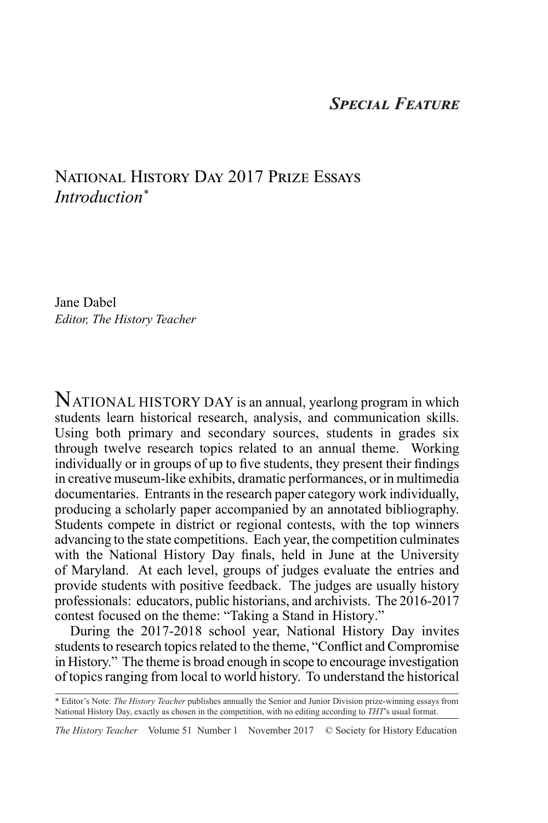## *Special Feature*

## National History Day 2017 Prize Essays *Introduction\**

Jane Dabel *Editor, The History Teacher*

NATIONAL HISTORY DAY is an annual, yearlong program in which students learn historical research, analysis, and communication skills. Using both primary and secondary sources, students in grades six through twelve research topics related to an annual theme. Working individually or in groups of up to five students, they present their findings in creative museum-like exhibits, dramatic performances, or in multimedia documentaries. Entrants in the research paper category work individually, producing a scholarly paper accompanied by an annotated bibliography. Students compete in district or regional contests, with the top winners advancing to the state competitions. Each year, the competition culminates with the National History Day finals, held in June at the University of Maryland. At each level, groups of judges evaluate the entries and provide students with positive feedback. The judges are usually history professionals: educators, public historians, and archivists. The 2016-2017 contest focused on the theme: "Taking a Stand in History."

During the 2017-2018 school year, National History Day invites students to research topics related to the theme, "Conflict and Compromise in History." The theme is broad enough in scope to encourage investigation of topics ranging from local to world history. To understand the historical

*The History Teacher* Volume 51 Number 1 November 2017 © Society for History Education

<sup>\*</sup> Editor's Note: *The History Teacher* publishes annually the Senior and Junior Division prize-winning essays from National History Day, exactly as chosen in the competition, with no editing according to *THT*'s usual format.